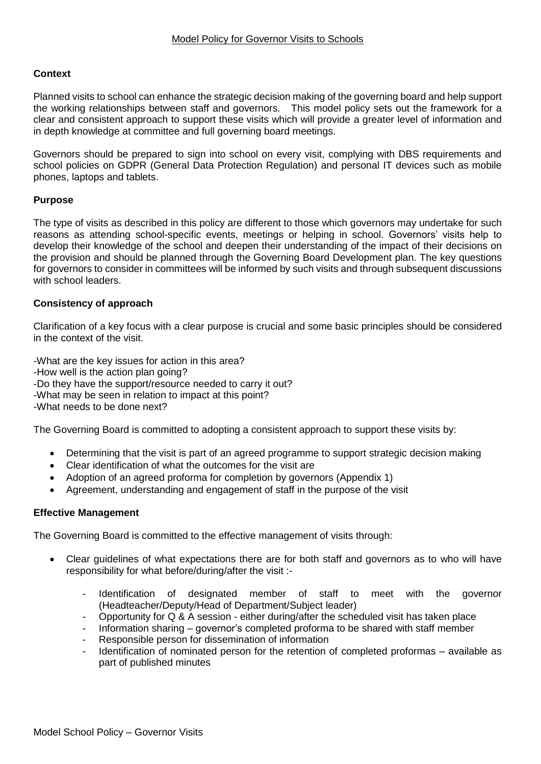# **Context**

Planned visits to school can enhance the strategic decision making of the governing board and help support the working relationships between staff and governors. This model policy sets out the framework for a clear and consistent approach to support these visits which will provide a greater level of information and in depth knowledge at committee and full governing board meetings.

Governors should be prepared to sign into school on every visit, complying with DBS requirements and school policies on GDPR (General Data Protection Regulation) and personal IT devices such as mobile phones, laptops and tablets.

# **Purpose**

The type of visits as described in this policy are different to those which governors may undertake for such reasons as attending school-specific events, meetings or helping in school. Governors' visits help to develop their knowledge of the school and deepen their understanding of the impact of their decisions on the provision and should be planned through the Governing Board Development plan. The key questions for governors to consider in committees will be informed by such visits and through subsequent discussions with school leaders.

#### **Consistency of approach**

Clarification of a key focus with a clear purpose is crucial and some basic principles should be considered in the context of the visit.

-What are the key issues for action in this area?

- -How well is the action plan going?
- -Do they have the support/resource needed to carry it out?
- -What may be seen in relation to impact at this point?
- -What needs to be done next?

The Governing Board is committed to adopting a consistent approach to support these visits by:

- Determining that the visit is part of an agreed programme to support strategic decision making
- Clear identification of what the outcomes for the visit are
- Adoption of an agreed proforma for completion by governors (Appendix 1)
- Agreement, understanding and engagement of staff in the purpose of the visit

#### **Effective Management**

The Governing Board is committed to the effective management of visits through:

- Clear guidelines of what expectations there are for both staff and governors as to who will have responsibility for what before/during/after the visit :-
	- Identification of designated member of staff to meet with the governor (Headteacher/Deputy/Head of Department/Subject leader)
	- Opportunity for Q & A session either during/after the scheduled visit has taken place
	- Information sharing governor's completed proforma to be shared with staff member
	- Responsible person for dissemination of information
	- Identification of nominated person for the retention of completed proformas available as part of published minutes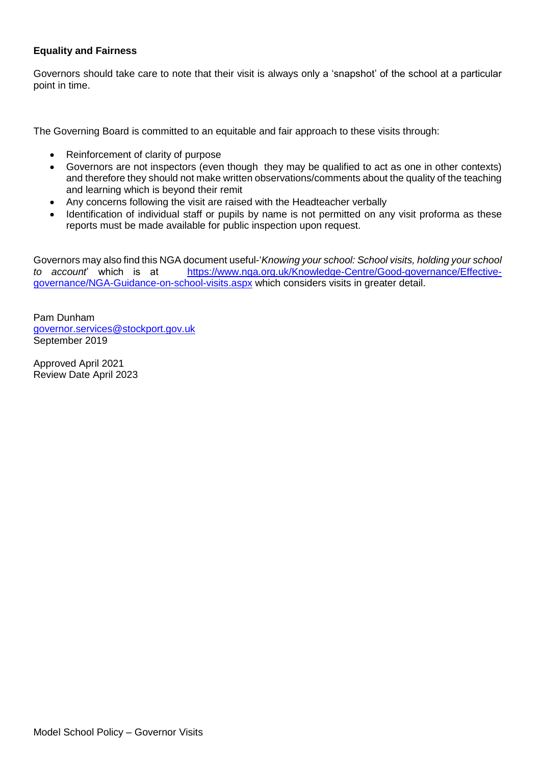# **Equality and Fairness**

Governors should take care to note that their visit is always only a 'snapshot' of the school at a particular point in time.

The Governing Board is committed to an equitable and fair approach to these visits through:

- Reinforcement of clarity of purpose
- Governors are not inspectors (even though they may be qualified to act as one in other contexts) and therefore they should not make written observations/comments about the quality of the teaching and learning which is beyond their remit
- Any concerns following the visit are raised with the Headteacher verbally
- Identification of individual staff or pupils by name is not permitted on any visit proforma as these reports must be made available for public inspection upon request.

Governors may also find this NGA document useful-'*Knowing your school: School visits, holding your school to account*' which is at [https://www.nga.org.uk/Knowledge-Centre/Good-governance/Effective](https://www.nga.org.uk/Knowledge-Centre/Good-governance/Effective-governance/NGA-Guidance-on-school-visits.aspx)[governance/NGA-Guidance-on-school-visits.aspx](https://www.nga.org.uk/Knowledge-Centre/Good-governance/Effective-governance/NGA-Guidance-on-school-visits.aspx) which considers visits in greater detail.

Pam Dunham [governor.services@stockport.gov.uk](mailto:governor.services@stockport.gov.uk) September 2019

Approved April 2021 Review Date April 2023